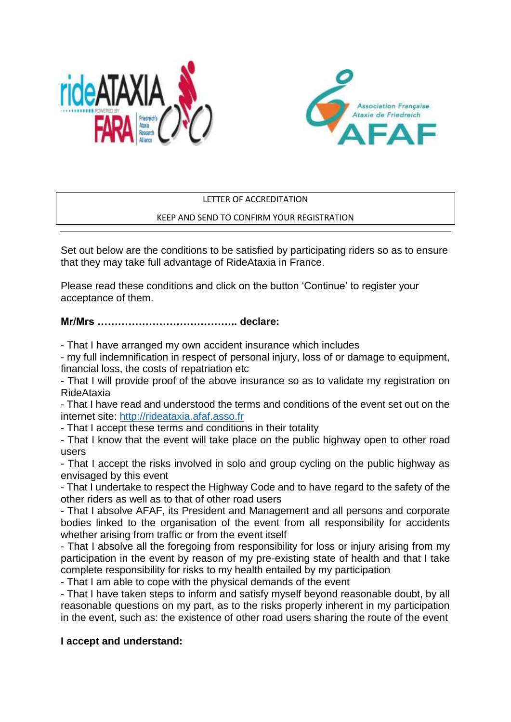



### LETTER OF ACCREDITATION

### KEEP AND SEND TO CONFIRM YOUR REGISTRATION

Set out below are the conditions to be satisfied by participating riders so as to ensure that they may take full advantage of RideAtaxia in France.

Please read these conditions and click on the button 'Continue' to register your acceptance of them.

# **Mr/Mrs ………………………………….. declare:**

- That I have arranged my own accident insurance which includes

- my full indemnification in respect of personal injury, loss of or damage to equipment, financial loss, the costs of repatriation etc

- That I will provide proof of the above insurance so as to validate my registration on RideAtaxia

- That I have read and understood the terms and conditions of the event set out on the internet site: [http://rideataxia.afaf.asso.fr](http://rideataxia.afaf.asso.fr/)

- That I accept these terms and conditions in their totality

- That I know that the event will take place on the public highway open to other road users

- That I accept the risks involved in solo and group cycling on the public highway as envisaged by this event

- That I undertake to respect the Highway Code and to have regard to the safety of the other riders as well as to that of other road users

- That I absolve AFAF, its President and Management and all persons and corporate bodies linked to the organisation of the event from all responsibility for accidents whether arising from traffic or from the event itself

- That I absolve all the foregoing from responsibility for loss or injury arising from my participation in the event by reason of my pre-existing state of health and that I take complete responsibility for risks to my health entailed by my participation

- That I am able to cope with the physical demands of the event

- That I have taken steps to inform and satisfy myself beyond reasonable doubt, by all reasonable questions on my part, as to the risks properly inherent in my participation in the event, such as: the existence of other road users sharing the route of the event

# **I accept and understand:**